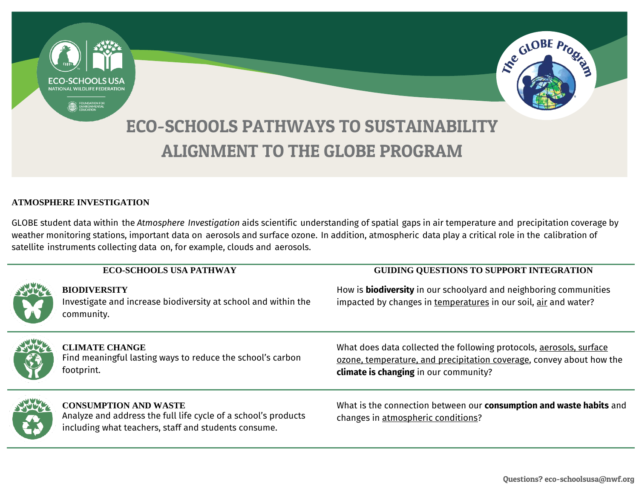

#### **ATMOSPHERE INVESTIGATION**

GLOBE student data within the *Atmosphere Investigation* aids scientific understanding of spatial gaps in air temperature and precipitation coverage by weather monitoring stations, important data on aerosols and surface ozone. In addition, atmospheric data play a critical role in the calibration of satellite instruments collecting data on, for example, clouds and aerosols.

|               | <b>ECO-SCHOOLS USA PATHWAY</b>                                                                                                                         | <b>GUIDING QUESTIONS TO SUPPORT INTEGRATION</b>                                                                                                                                      |
|---------------|--------------------------------------------------------------------------------------------------------------------------------------------------------|--------------------------------------------------------------------------------------------------------------------------------------------------------------------------------------|
| <b>SHARA</b>  | <b>BIODIVERSITY</b><br>Investigate and increase biodiversity at school and within the<br>community.                                                    | How is <b>biodiversity</b> in our schoolyard and neighboring communities<br>impacted by changes in temperatures in our soil, air and water?                                          |
|               | <b>CLIMATE CHANGE</b><br>Find meaningful lasting ways to reduce the school's carbon<br>footprint.                                                      | What does data collected the following protocols, aerosols, surface<br>ozone, temperature, and precipitation coverage, convey about how the<br>climate is changing in our community? |
| $\frac{1}{2}$ | <b>CONSUMPTION AND WASTE</b><br>Analyze and address the full life cycle of a school's products<br>including what teachers, staff and students consume. | What is the connection between our consumption and waste habits and<br>changes in atmospheric conditions?                                                                            |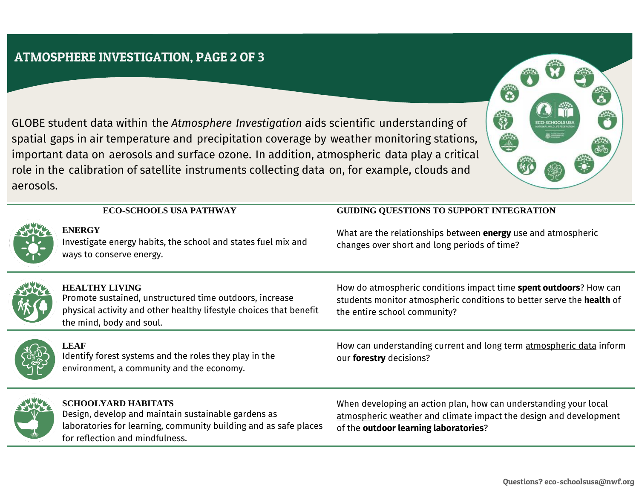## ATMOSPHERE INVESTIGATION, PAGE 2 OF 3

GLOBE student data within the *Atmosphere Investigation* aids scientific understanding of spatial gaps in air temperature and precipitation coverage by weather monitoring stations, important data on aerosols and surface ozone. In addition, atmospheric data play a critical role in the calibration of satellite instruments collecting data on, for example, clouds and aerosols.



### **ECO-SCHOOLS USA PATHWAY GUIDING QUESTIONS TO SUPPORT INTEGRATION**

Investigate energy habits, the school and states fuel mix and ways to conserve energy.

What are the relationships between **energy** use and atmospheric changes over short and long periods of time?

 $\mathbf{S}$ 



#### **HEALTHY LIVING**

Promote sustained, unstructured time outdoors, increase physical activity and other healthy lifestyle choices that benefit the mind, body and soul.

How do atmospheric conditions impact time **spent outdoors**? How can students monitor atmospheric conditions to better serve the **health** of the entire school community?

### **LEAF** Identify forest systems and the roles they play in the environment, a community and the economy.

How can understanding current and long term atmospheric data inform our **forestry** decisions?

### **SCHOOLYARD HABITATS** Design, develop and maintain sustainable gardens as

laboratories for learning, community building and as safe places for reflection and mindfulness.

When developing an action plan, how can understanding your local atmospheric weather and climate impact the design and development of the **outdoor learning laboratories**?